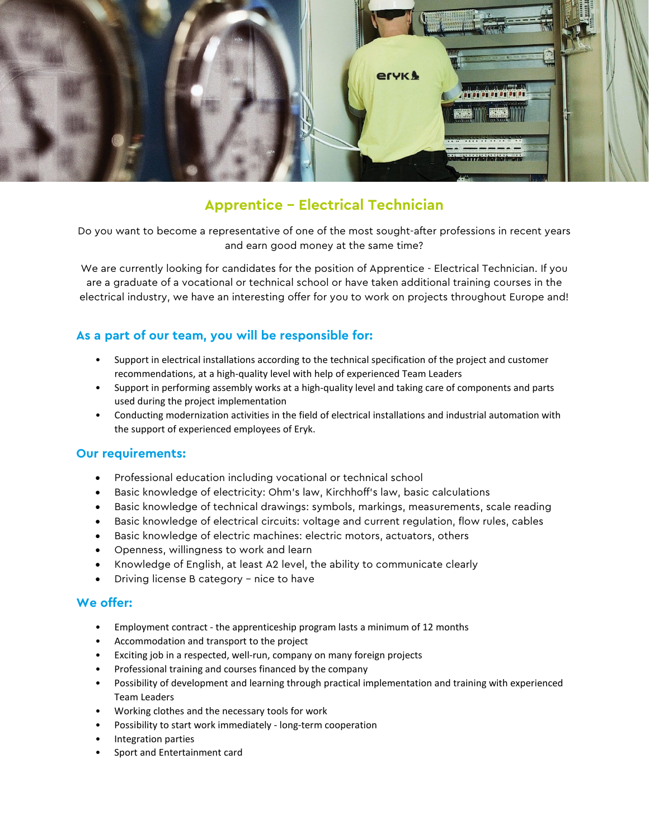

## **Apprentice – Electrical Technician**

Do you want to become a representative of one of the most sought-after professions in recent years and earn good money at the same time?

We are currently looking for candidates for the position of Apprentice - Electrical Technician. If you are a graduate of a vocational or technical school or have taken additional training courses in the electrical industry, we have an interesting offer for you to work on projects throughout Europe and!

## **As a part of our team, you will be responsible for:**

- Support in electrical installations according to the technical specification of the project and customer recommendations, at a high-quality level with help of experienced Team Leaders
- Support in performing assembly works at a high-quality level and taking care of components and parts used during the project implementation
- Conducting modernization activities in the field of electrical installations and industrial automation with the support of experienced employees of Eryk.

## **Our requirements:**

- Professional education including vocational or technical school
- Basic knowledge of electricity: Ohm's law, Kirchhoff's law, basic calculations
- Basic knowledge of technical drawings: symbols, markings, measurements, scale reading
- Basic knowledge of electrical circuits: voltage and current regulation, flow rules, cables
- Basic knowledge of electric machines: electric motors, actuators, others
- Openness, willingness to work and learn
- Knowledge of English, at least A2 level, the ability to communicate clearly
- Driving license B category nice to have

## **We offer:**

- Employment contract the apprenticeship program lasts a minimum of 12 months
- Accommodation and transport to the project
- Exciting job in a respected, well-run, company on many foreign projects
- Professional training and courses financed by the company
- Possibility of development and learning through practical implementation and training with experienced Team Leaders
- Working clothes and the necessary tools for work
- Possibility to start work immediately long-term cooperation
- Integration parties
- Sport and Entertainment card